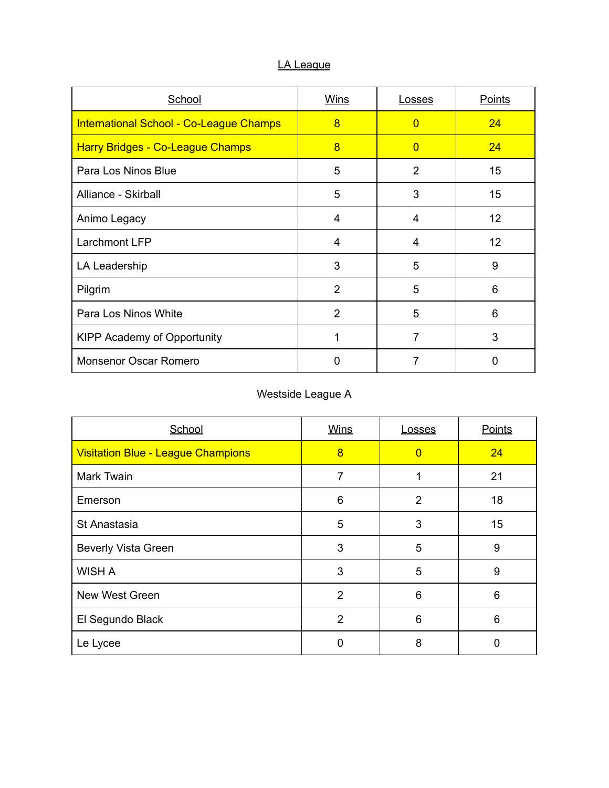### LA League

| School                                         | Wins           | Losses         | Points    |
|------------------------------------------------|----------------|----------------|-----------|
| <b>International School - Co-League Champs</b> | 8              | $\Omega$       | <b>24</b> |
| <b>Harry Bridges - Co-League Champs</b>        | 8              | $\Omega$       | <b>24</b> |
| Para Los Ninos Blue                            | 5              | $\overline{2}$ | 15        |
| Alliance - Skirball                            | 5              | 3              | 15        |
| Animo Legacy                                   | 4              | 4              | 12        |
| Larchmont LFP                                  | 4              | 4              | 12        |
| LA Leadership                                  | 3              | 5              | 9         |
| Pilgrim                                        | $\overline{2}$ | 5              | 6         |
| Para Los Ninos White                           | 2              | 5              | 6         |
| <b>KIPP Academy of Opportunity</b>             | 1              | 7              | 3         |
| <b>Monsenor Oscar Romero</b>                   | $\Omega$       | 7              | 0         |

#### Westside League A

| School                                    | <b>Wins</b>    | <b>Losses</b>  | <b>Points</b> |
|-------------------------------------------|----------------|----------------|---------------|
| <b>Visitation Blue - League Champions</b> | 8              | $\overline{0}$ | 24            |
| <b>Mark Twain</b>                         | 7              |                | 21            |
| Emerson                                   | 6              | $\overline{2}$ | 18            |
| St Anastasia                              | 5              | 3              | 15            |
| <b>Beverly Vista Green</b>                | 3              | 5              | 9             |
| <b>WISH A</b>                             | 3              | 5              | 9             |
| <b>New West Green</b>                     | $\overline{2}$ | 6              | 6             |
| El Segundo Black                          | 2              | 6              | 6             |
| Le Lycee                                  | 0              | 8              | 0             |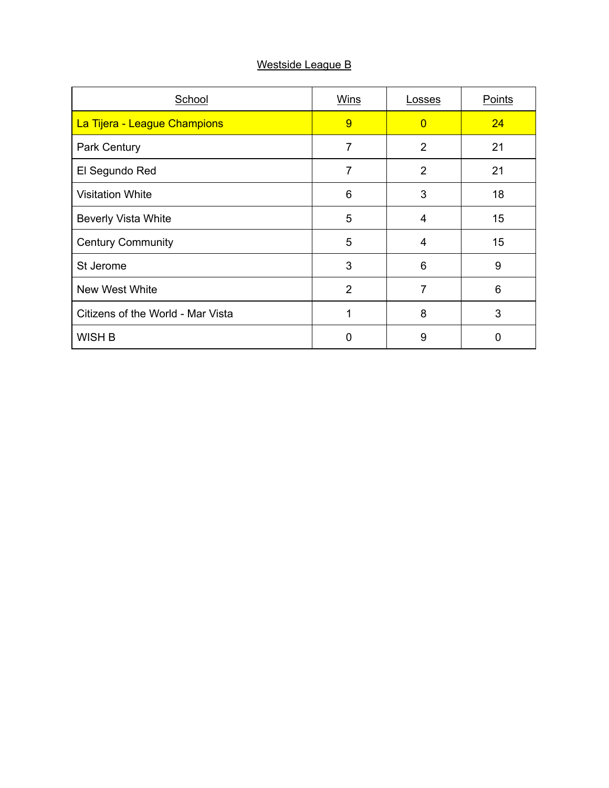### Westside League B

| School                            | Wins           | Losses         | Points |
|-----------------------------------|----------------|----------------|--------|
| La Tijera - League Champions      | 9              | $\Omega$       | 24     |
| Park Century                      | $\overline{7}$ | 2              | 21     |
| El Segundo Red                    | 7              | $\overline{2}$ | 21     |
| <b>Visitation White</b>           | 6              | 3              | 18     |
| <b>Beverly Vista White</b>        | 5              | 4              | 15     |
| <b>Century Community</b>          | 5              | 4              | 15     |
| St Jerome                         | 3              | 6              | 9      |
| New West White                    | 2              | 7              | 6      |
| Citizens of the World - Mar Vista | 1              | 8              | 3      |
| WISH B                            | 0              | 9              | 0      |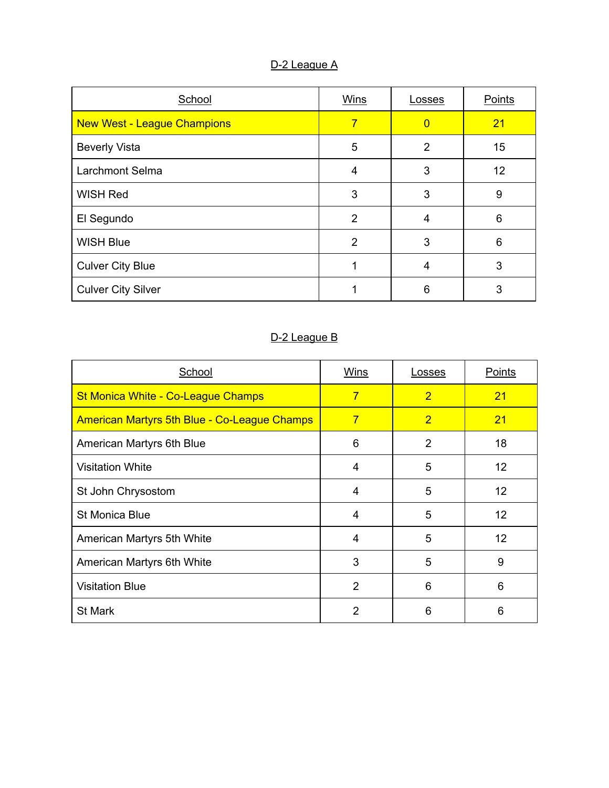## D-2 League A

| School                             | Wins           | Losses         | Points |
|------------------------------------|----------------|----------------|--------|
| <b>New West - League Champions</b> | 7              | $\Omega$       | 21     |
| <b>Beverly Vista</b>               | 5              | $\overline{2}$ | 15     |
| <b>Larchmont Selma</b>             | 4              | 3              | 12     |
| <b>WISH Red</b>                    | 3              | 3              | 9      |
| El Segundo                         | 2              | 4              | 6      |
| <b>WISH Blue</b>                   | $\overline{2}$ | 3              | 6      |
| <b>Culver City Blue</b>            |                | 4              | 3      |
| <b>Culver City Silver</b>          |                | 6              | 3      |

# D-2 League B

| School                                              | <b>Wins</b>    | <b>Losses</b>  | <b>Points</b> |
|-----------------------------------------------------|----------------|----------------|---------------|
| <b>St Monica White - Co-League Champs</b>           | $\overline{7}$ | $\overline{2}$ | 21            |
| <b>American Martyrs 5th Blue - Co-League Champs</b> | $\overline{7}$ | $\overline{2}$ | 21            |
| American Martyrs 6th Blue                           | 6              | $\overline{2}$ | 18            |
| <b>Visitation White</b>                             | 4              | 5              | 12            |
| St John Chrysostom                                  | 4              | 5              | 12            |
| <b>St Monica Blue</b>                               | 4              | 5              | 12            |
| American Martyrs 5th White                          | 4              | 5              | 12            |
| American Martyrs 6th White                          | 3              | 5              | 9             |
| <b>Visitation Blue</b>                              | 2              | 6              | 6             |
| <b>St Mark</b>                                      | 2              | 6              | 6             |